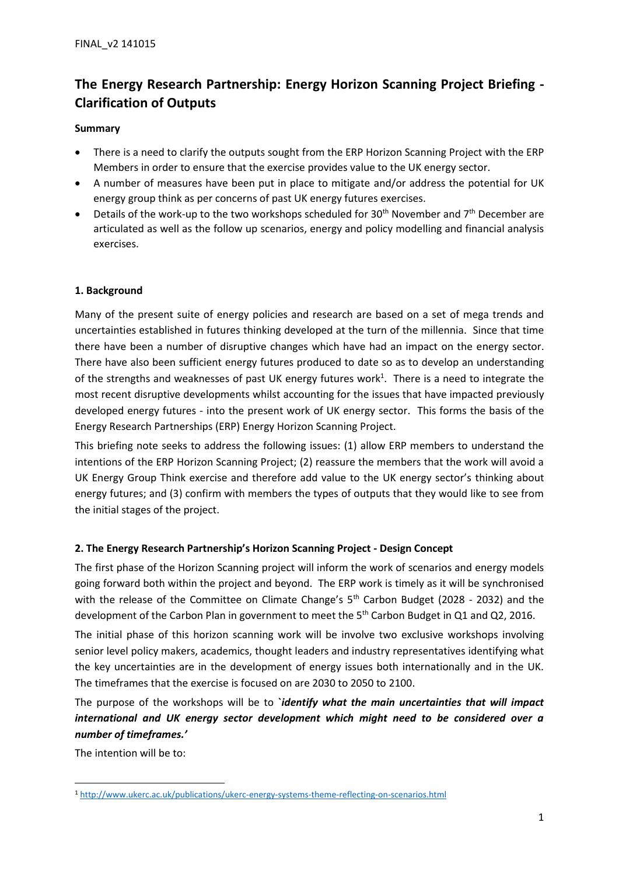# **The Energy Research Partnership: Energy Horizon Scanning Project Briefing - Clarification of Outputs**

## **Summary**

- There is a need to clarify the outputs sought from the ERP Horizon Scanning Project with the ERP Members in order to ensure that the exercise provides value to the UK energy sector.
- A number of measures have been put in place to mitigate and/or address the potential for UK energy group think as per concerns of past UK energy futures exercises.
- Details of the work-up to the two workshops scheduled for  $30<sup>th</sup>$  November and  $7<sup>th</sup>$  December are articulated as well as the follow up scenarios, energy and policy modelling and financial analysis exercises.

#### **1. Background**

Many of the present suite of energy policies and research are based on a set of mega trends and uncertainties established in futures thinking developed at the turn of the millennia. Since that time there have been a number of disruptive changes which have had an impact on the energy sector. There have also been sufficient energy futures produced to date so as to develop an understanding of the strengths and weaknesses of past UK energy futures work<sup>1</sup>. There is a need to integrate the most recent disruptive developments whilst accounting for the issues that have impacted previously developed energy futures - into the present work of UK energy sector. This forms the basis of the Energy Research Partnerships (ERP) Energy Horizon Scanning Project.

This briefing note seeks to address the following issues: (1) allow ERP members to understand the intentions of the ERP Horizon Scanning Project; (2) reassure the members that the work will avoid a UK Energy Group Think exercise and therefore add value to the UK energy sector's thinking about energy futures; and (3) confirm with members the types of outputs that they would like to see from the initial stages of the project.

## **2. The Energy Research Partnership's Horizon Scanning Project - Design Concept**

The first phase of the Horizon Scanning project will inform the work of scenarios and energy models going forward both within the project and beyond. The ERP work is timely as it will be synchronised with the release of the Committee on Climate Change's 5<sup>th</sup> Carbon Budget (2028 - 2032) and the development of the Carbon Plan in government to meet the 5<sup>th</sup> Carbon Budget in Q1 and Q2, 2016.

The initial phase of this horizon scanning work will be involve two exclusive workshops involving senior level policy makers, academics, thought leaders and industry representatives identifying what the key uncertainties are in the development of energy issues both internationally and in the UK. The timeframes that the exercise is focused on are 2030 to 2050 to 2100.

The purpose of the workshops will be to **`***identify what the main uncertainties that will impact international and UK energy sector development which might need to be considered over a number of timeframes.'*

The intention will be to:

**.** 

<sup>1</sup> <http://www.ukerc.ac.uk/publications/ukerc-energy-systems-theme-reflecting-on-scenarios.html>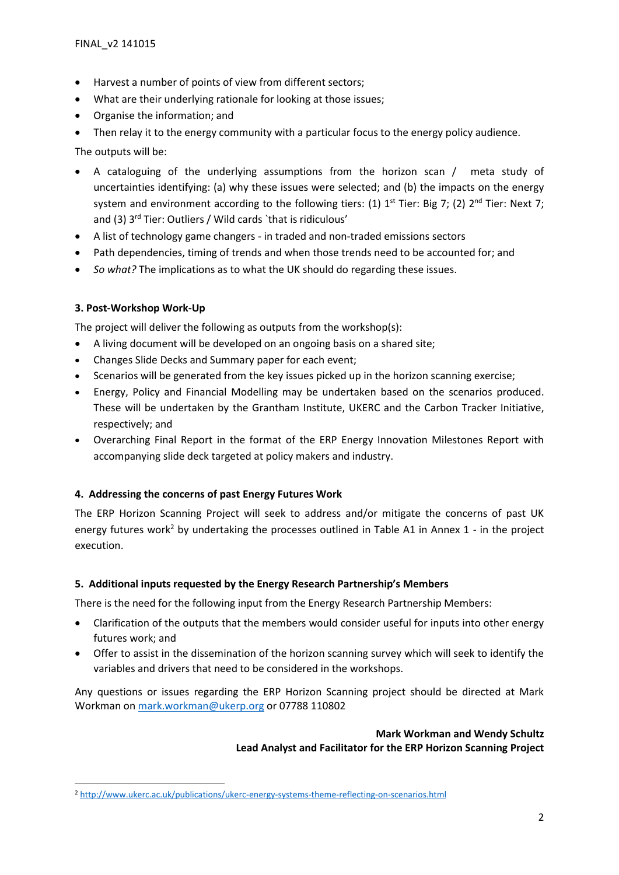- Harvest a number of points of view from different sectors;
- What are their underlying rationale for looking at those issues;
- Organise the information; and
- Then relay it to the energy community with a particular focus to the energy policy audience.

The outputs will be:

- A cataloguing of the underlying assumptions from the horizon scan / meta study of uncertainties identifying: (a) why these issues were selected; and (b) the impacts on the energy system and environment according to the following tiers: (1)  $1^{st}$  Tier: Big 7; (2)  $2^{nd}$  Tier: Next 7; and (3) 3<sup>rd</sup> Tier: Outliers / Wild cards `that is ridiculous'
- A list of technology game changers in traded and non-traded emissions sectors
- Path dependencies, timing of trends and when those trends need to be accounted for; and
- *So what?* The implications as to what the UK should do regarding these issues.

## **3. Post-Workshop Work-Up**

**.** 

The project will deliver the following as outputs from the workshop(s):

- A living document will be developed on an ongoing basis on a shared site;
- Changes Slide Decks and Summary paper for each event;
- Scenarios will be generated from the key issues picked up in the horizon scanning exercise;
- Energy, Policy and Financial Modelling may be undertaken based on the scenarios produced. These will be undertaken by the Grantham Institute, UKERC and the Carbon Tracker Initiative, respectively; and
- Overarching Final Report in the format of the ERP Energy Innovation Milestones Report with accompanying slide deck targeted at policy makers and industry.

## **4. Addressing the concerns of past Energy Futures Work**

The ERP Horizon Scanning Project will seek to address and/or mitigate the concerns of past UK energy futures work<sup>2</sup> by undertaking the processes outlined in Table A1 in Annex 1 - in the project execution.

## **5. Additional inputs requested by the Energy Research Partnership's Members**

There is the need for the following input from the Energy Research Partnership Members:

- Clarification of the outputs that the members would consider useful for inputs into other energy futures work; and
- Offer to assist in the dissemination of the horizon scanning survey which will seek to identify the variables and drivers that need to be considered in the workshops.

Any questions or issues regarding the ERP Horizon Scanning project should be directed at Mark Workman on [mark.workman@ukerp.org](mailto:mark.workman@ukerp.org) or 07788 110802

## **Mark Workman and Wendy Schultz Lead Analyst and Facilitator for the ERP Horizon Scanning Project**

<sup>2</sup> <http://www.ukerc.ac.uk/publications/ukerc-energy-systems-theme-reflecting-on-scenarios.html>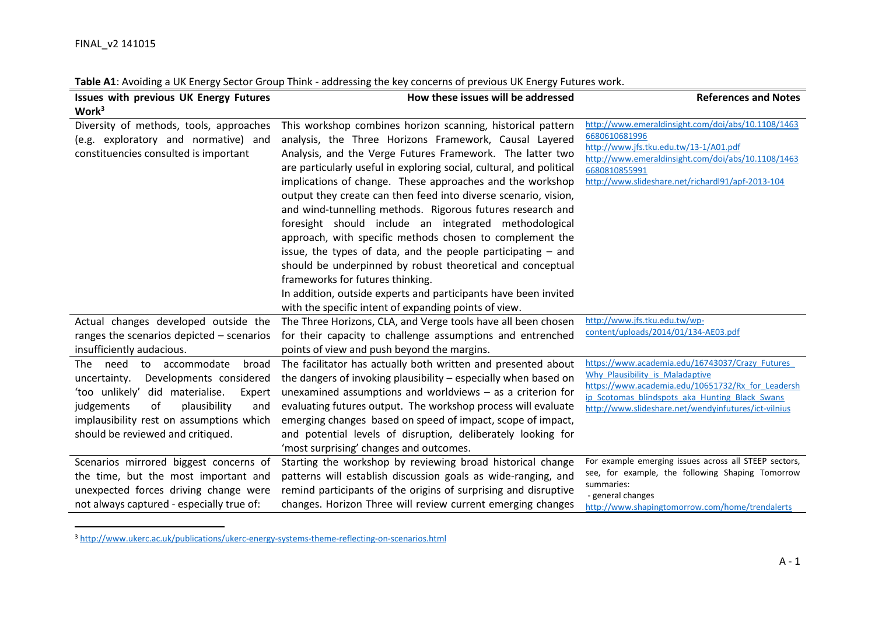$\overline{a}$ 

| <b>Issues with previous UK Energy Futures</b> | How these issues will be addressed                                   | <b>References and Notes</b>                                                                         |
|-----------------------------------------------|----------------------------------------------------------------------|-----------------------------------------------------------------------------------------------------|
| Work <sup>3</sup>                             |                                                                      |                                                                                                     |
| Diversity of methods, tools, approaches       | This workshop combines horizon scanning, historical pattern          | http://www.emeraldinsight.com/doi/abs/10.1108/1463                                                  |
| (e.g. exploratory and normative) and          | analysis, the Three Horizons Framework, Causal Layered               | 6680610681996                                                                                       |
| constituencies consulted is important         | Analysis, and the Verge Futures Framework. The latter two            | http://www.jfs.tku.edu.tw/13-1/A01.pdf<br>http://www.emeraldinsight.com/doi/abs/10.1108/1463        |
|                                               | are particularly useful in exploring social, cultural, and political | 6680810855991                                                                                       |
|                                               | implications of change. These approaches and the workshop            | http://www.slideshare.net/richardl91/apf-2013-104                                                   |
|                                               | output they create can then feed into diverse scenario, vision,      |                                                                                                     |
|                                               | and wind-tunnelling methods. Rigorous futures research and           |                                                                                                     |
|                                               | foresight should include an integrated methodological                |                                                                                                     |
|                                               | approach, with specific methods chosen to complement the             |                                                                                                     |
|                                               | issue, the types of data, and the people participating $-$ and       |                                                                                                     |
|                                               | should be underpinned by robust theoretical and conceptual           |                                                                                                     |
|                                               | frameworks for futures thinking.                                     |                                                                                                     |
|                                               | In addition, outside experts and participants have been invited      |                                                                                                     |
|                                               | with the specific intent of expanding points of view.                |                                                                                                     |
| Actual changes developed outside the          | The Three Horizons, CLA, and Verge tools have all been chosen        | http://www.jfs.tku.edu.tw/wp-                                                                       |
| ranges the scenarios depicted – scenarios     | for their capacity to challenge assumptions and entrenched           | content/uploads/2014/01/134-AE03.pdf                                                                |
| insufficiently audacious.                     | points of view and push beyond the margins.                          |                                                                                                     |
| need<br>to accommodate<br>broad<br>The        | The facilitator has actually both written and presented about        | https://www.academia.edu/16743037/Crazy Futures                                                     |
| Developments considered<br>uncertainty.       | the dangers of invoking plausibility – especially when based on      | Why Plausibility is Maladaptive                                                                     |
| 'too unlikely' did materialise.<br>Expert     | unexamined assumptions and worldviews $-$ as a criterion for         | https://www.academia.edu/10651732/Rx for Leadersh<br>ip Scotomas blindspots aka Hunting Black Swans |
| of<br>judgements<br>plausibility<br>and       | evaluating futures output. The workshop process will evaluate        | http://www.slideshare.net/wendyinfutures/ict-vilnius                                                |
| implausibility rest on assumptions which      | emerging changes based on speed of impact, scope of impact,          |                                                                                                     |
| should be reviewed and critiqued.             | and potential levels of disruption, deliberately looking for         |                                                                                                     |
|                                               | 'most surprising' changes and outcomes.                              |                                                                                                     |
| Scenarios mirrored biggest concerns of        | Starting the workshop by reviewing broad historical change           | For example emerging issues across all STEEP sectors,                                               |
| the time, but the most important and          | patterns will establish discussion goals as wide-ranging, and        | see, for example, the following Shaping Tomorrow                                                    |
| unexpected forces driving change were         | remind participants of the origins of surprising and disruptive      | summaries:<br>- general changes                                                                     |
| not always captured - especially true of:     | changes. Horizon Three will review current emerging changes          | http://www.shapingtomorrow.com/home/trendalerts                                                     |

**Table A1**: Avoiding a UK Energy Sector Group Think - addressing the key concerns of previous UK Energy Futures work.

<sup>3</sup> <http://www.ukerc.ac.uk/publications/ukerc-energy-systems-theme-reflecting-on-scenarios.html>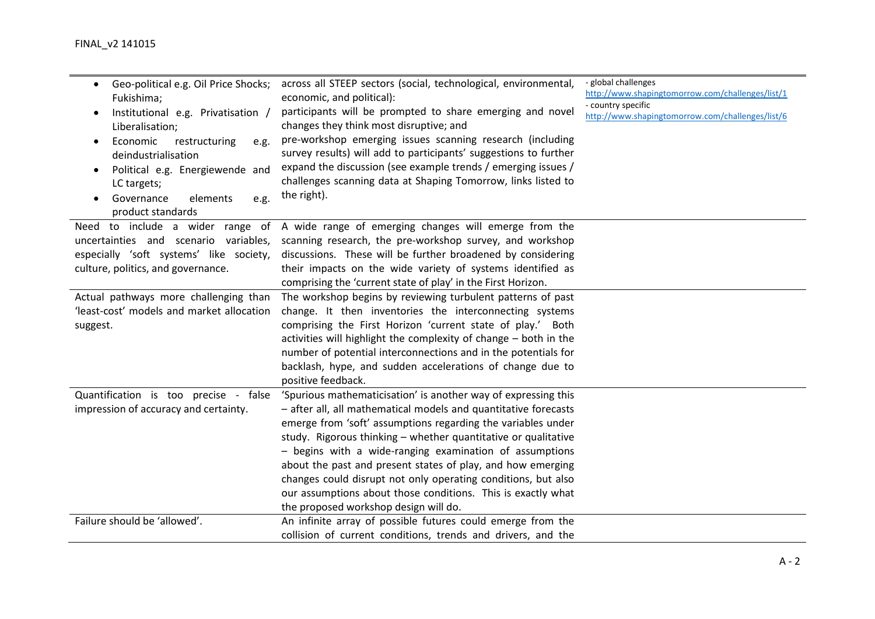| Geo-political e.g. Oil Price Shocks;<br>$\bullet$<br>Fukishima;<br>Institutional e.g. Privatisation /<br>Liberalisation;<br>Economic<br>restructuring<br>e.g.<br>$\bullet$<br>deindustrialisation<br>Political e.g. Energiewende and<br>$\bullet$<br>LC targets;<br>Governance<br>elements<br>e.g.<br>product standards | across all STEEP sectors (social, technological, environmental,<br>economic, and political):<br>participants will be prompted to share emerging and novel<br>changes they think most disruptive; and<br>pre-workshop emerging issues scanning research (including<br>survey results) will add to participants' suggestions to further<br>expand the discussion (see example trends / emerging issues /<br>challenges scanning data at Shaping Tomorrow, links listed to<br>the right).                                                                                  | - global challenges<br>http://www.shapingtomorrow.com/challenges/list/1<br>- country specific<br>http://www.shapingtomorrow.com/challenges/list/6 |
|-------------------------------------------------------------------------------------------------------------------------------------------------------------------------------------------------------------------------------------------------------------------------------------------------------------------------|-------------------------------------------------------------------------------------------------------------------------------------------------------------------------------------------------------------------------------------------------------------------------------------------------------------------------------------------------------------------------------------------------------------------------------------------------------------------------------------------------------------------------------------------------------------------------|---------------------------------------------------------------------------------------------------------------------------------------------------|
| uncertainties and scenario variables,<br>especially 'soft systems' like society,<br>culture, politics, and governance.<br>Actual pathways more challenging than<br>'least-cost' models and market allocation                                                                                                            | Need to include a wider range of A wide range of emerging changes will emerge from the<br>scanning research, the pre-workshop survey, and workshop<br>discussions. These will be further broadened by considering<br>their impacts on the wide variety of systems identified as<br>comprising the 'current state of play' in the First Horizon.<br>The workshop begins by reviewing turbulent patterns of past<br>change. It then inventories the interconnecting systems                                                                                               |                                                                                                                                                   |
| suggest.                                                                                                                                                                                                                                                                                                                | comprising the First Horizon 'current state of play.' Both<br>activities will highlight the complexity of change - both in the<br>number of potential interconnections and in the potentials for<br>backlash, hype, and sudden accelerations of change due to<br>positive feedback.                                                                                                                                                                                                                                                                                     |                                                                                                                                                   |
| Quantification is too precise - false<br>impression of accuracy and certainty.                                                                                                                                                                                                                                          | 'Spurious mathematicisation' is another way of expressing this<br>- after all, all mathematical models and quantitative forecasts<br>emerge from 'soft' assumptions regarding the variables under<br>study. Rigorous thinking - whether quantitative or qualitative<br>- begins with a wide-ranging examination of assumptions<br>about the past and present states of play, and how emerging<br>changes could disrupt not only operating conditions, but also<br>our assumptions about those conditions. This is exactly what<br>the proposed workshop design will do. |                                                                                                                                                   |
| Failure should be 'allowed'.                                                                                                                                                                                                                                                                                            | An infinite array of possible futures could emerge from the<br>collision of current conditions, trends and drivers, and the                                                                                                                                                                                                                                                                                                                                                                                                                                             |                                                                                                                                                   |